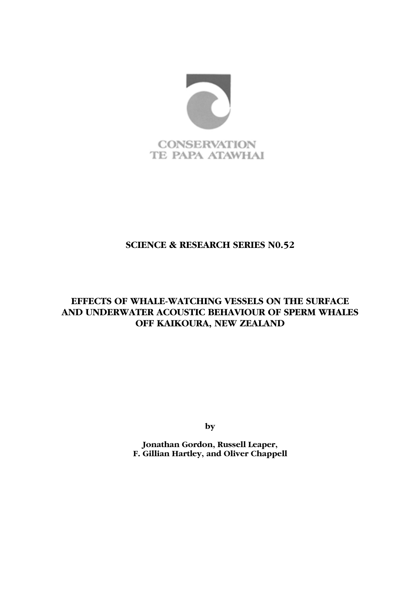

# SCIENCE & RESEARCH SERIES N0.52

# EFFECTS OF WHALE-WATCHING VESSELS ON THE SURFACE AND UNDERWATER ACOUSTIC BEHAVIOUR OF SPERM WHALES OFF KAIKOURA, NEW ZEALAND

by

Jonathan Gordon, Russell Leaper, F. Gillian Hartley, and Oliver Chappell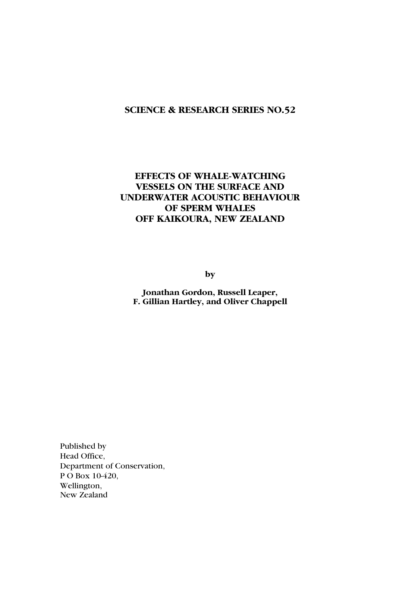# SCIENCE & RESEARCH SERIES NO.52

# EFFECTS OF WHALE-WATCHING VESSELS ON THE SURFACE AND UNDERWATER ACOUSTIC BEHAVIOUR OF SPERM WHALES OFF KAIKOURA, NEW ZEALAND

by

Jonathan Gordon, Russell Leaper, F. Gillian Hartley, and Oliver Chappell

Published by Head Office, Department of Conservation, P O Box 10-420, Wellington, New Zealand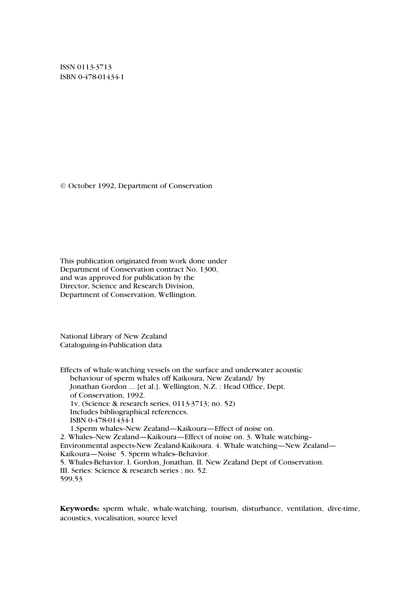ISSN 0113-3713 ISBN 0-478-01434-1

© October 1992, Department of Conservation

This publication originated from work done under Department of Conservation contract No. 1300, and was approved for publication by the Director, Science and Research Division, Department of Conservation, Wellington.

National Library of New Zealand Cataloguing-in-Publication data

Effects of whale-watching vessels on the surface and underwater acoustic behaviour of sperm whales off Kaikoura, New Zealand/ by Jonathan Gordon ... [et al.]. Wellington, N.Z. : Head Office, Dept. of Conservation, 1992. 1v. (Science & research series, 0113-3713; no. 52) Includes bibliographical references. ISBN 0-478-01434-1 1.Sperm whales--New Zealand—Kaikoura—Effect of noise on. 2. Whales--New Zealand—Kaikoura—Effect of noise on. 3. Whale watching-- Environmental aspects-New Zealand-Kaikoura. 4. Whale watching—New Zealand— Kaikoura—Noise 5. Sperm whales-Behavior. 5. Whales-Behavior. I. Gordon, Jonathan. II. New Zealand Dept of Conservation. III. Series: Science & research series ; no. 52. 599.53

Keywords: sperm whale, whale-watching, tourism, disturbance, ventilation, dive-time, acoustics, vocalisation, source level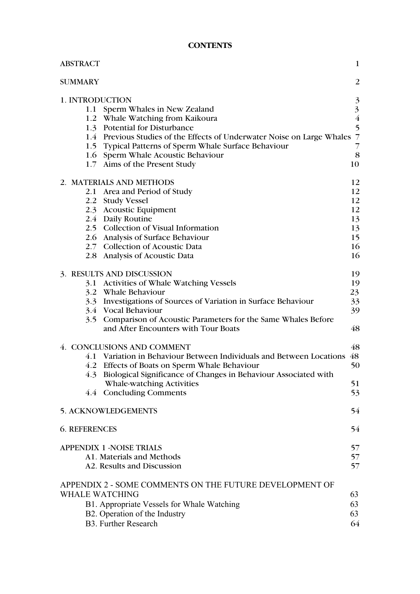# **CONTENTS**

| <b>ABSTRACT</b>       |                                                                         | $\mathbf{1}$            |
|-----------------------|-------------------------------------------------------------------------|-------------------------|
| <b>SUMMARY</b>        |                                                                         | $\overline{2}$          |
| 1. INTRODUCTION       |                                                                         | 3                       |
| 1.1                   | Sperm Whales in New Zealand                                             | $\overline{\mathbf{3}}$ |
|                       | 1.2 Whale Watching from Kaikoura                                        | $\overline{\mathbf{4}}$ |
|                       | 1.3 Potential for Disturbance                                           | 5                       |
|                       | 1.4 Previous Studies of the Effects of Underwater Noise on Large Whales | $\overline{7}$          |
|                       | 1.5 Typical Patterns of Sperm Whale Surface Behaviour                   | 7                       |
|                       | 1.6 Sperm Whale Acoustic Behaviour                                      | 8                       |
|                       | 1.7 Aims of the Present Study                                           | 10                      |
|                       | 2. MATERIALS AND METHODS                                                | 12                      |
| 2.1                   | Area and Period of Study                                                | 12                      |
| 2.2                   | <b>Study Vessel</b>                                                     | 12                      |
|                       | 2.3 Acoustic Equipment                                                  | 12                      |
|                       | 2.4 Daily Routine                                                       | 13                      |
|                       | 2.5 Collection of Visual Information                                    | 13                      |
|                       | 2.6 Analysis of Surface Behaviour                                       | 15                      |
|                       | 2.7 Collection of Acoustic Data                                         | 16                      |
|                       | 2.8 Analysis of Acoustic Data                                           | 16                      |
|                       | 3. RESULTS AND DISCUSSION                                               | 19                      |
|                       | 3.1 Activities of Whale Watching Vessels                                | 19                      |
| 3.2                   | Whale Behaviour                                                         | 23                      |
| 3.3                   | Investigations of Sources of Variation in Surface Behaviour             | 33                      |
|                       | 3.4 Vocal Behaviour                                                     | 39                      |
| 3.5                   | Comparison of Acoustic Parameters for the Same Whales Before            |                         |
|                       | and After Encounters with Tour Boats                                    | 48                      |
|                       | 4. CONCLUSIONS AND COMMENT                                              | 48                      |
| 4.1                   | Variation in Behaviour Between Individuals and Between Locations        | 48                      |
|                       | 4.2 Effects of Boats on Sperm Whale Behaviour                           | 50                      |
|                       | 4.3 Biological Significance of Changes in Behaviour Associated with     |                         |
|                       | Whale-watching Activities                                               | 51                      |
|                       | 4.4 Concluding Comments                                                 | 53                      |
|                       | 5. ACKNOWLEDGEMENTS                                                     | 54                      |
| <b>6. REFERENCES</b>  |                                                                         | 54                      |
|                       |                                                                         |                         |
|                       | <b>APPENDIX 1 -NOISE TRIALS</b>                                         | 57                      |
|                       | A1. Materials and Methods                                               | 57                      |
|                       | A2. Results and Discussion                                              | 57                      |
|                       | APPENDIX 2 - SOME COMMENTS ON THE FUTURE DEVELOPMENT OF                 |                         |
| <b>WHALE WATCHING</b> |                                                                         | 63                      |
|                       | B1. Appropriate Vessels for Whale Watching                              | 63                      |
|                       | B2. Operation of the Industry                                           | 63                      |
|                       | <b>B3. Further Research</b>                                             | 64                      |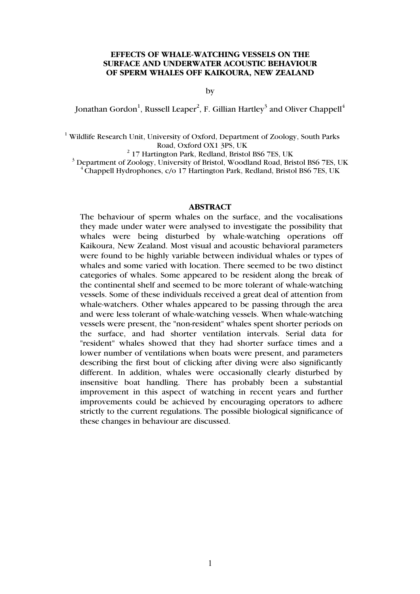#### EFFECTS OF WHALE-WATCHING VESSELS ON THE SURFACE AND UNDERWATER ACOUSTIC BEHAVIOUR OF SPERM WHALES OFF KAIKOURA, NEW ZEALAND

by

Jonathan Gordon $^1$ , Russell Leaper $^2$ , F. Gillian Hartley $^3$  and Oliver Chappell $^4$ 

<sup>1</sup> Wildlife Research Unit, University of Oxford, Department of Zoology, South Parks Road, Oxford OX1 3PS, UK<br>
<sup>2</sup> 17 Hartington Park, Redland, Bristol BS6 7ES, UK

<sup>3</sup> Department of Zoology, University of Bristol, Woodland Road, Bristol BS6 7ES, UK  $\overline{C}$ Chappell Hydrophones, c/o 17 Hartington Park, Redland, Bristol BS6 7ES, UK

#### ABSTRACT

The behaviour of sperm whales on the surface, and the vocalisations they made under water were analysed to investigate the possibility that whales were being disturbed by whale-watching operations off Kaikoura, New Zealand. Most visual and acoustic behavioral parameters were found to be highly variable between individual whales or types of whales and some varied with location. There seemed to be two distinct categories of whales. Some appeared to be resident along the break of the continental shelf and seemed to be more tolerant of whale-watching vessels. Some of these individuals received a great deal of attention from whale-watchers. Other whales appeared to be passing through the area and were less tolerant of whale-watching vessels. When whale-watching vessels were present, the "non-resident" whales spent shorter periods on the surface, and had shorter ventilation intervals. Serial data for "resident" whales showed that they had shorter surface times and a lower number of ventilations when boats were present, and parameters describing the first bout of clicking after diving were also significantly different. In addition, whales were occasionally clearly disturbed by insensitive boat handling. There has probably been a substantial improvement in this aspect of watching in recent years and further improvements could be achieved by encouraging operators to adhere strictly to the current regulations. The possible biological significance of these changes in behaviour are discussed.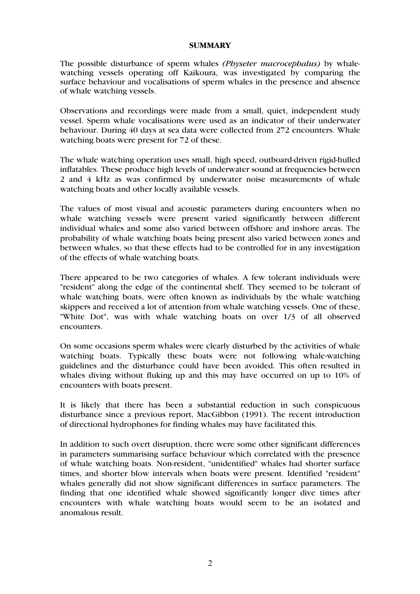#### **SUMMARY**

The possible disturbance of sperm whales *(Physeter macrocephalus)* by whalewatching vessels operating off Kaikoura, was investigated by comparing the surface behaviour and vocalisations of sperm whales in the presence and absence of whale watching vessels.

Observations and recordings were made from a small, quiet, independent study vessel. Sperm whale vocalisations were used as an indicator of their underwater behaviour. During 40 days at sea data were collected from 272 encounters. Whale watching boats were present for 72 of these.

The whale watching operation uses small, high speed, outboard-driven rigid-hulled inflatables. These produce high levels of underwater sound at frequencies between 2 and 4 kHz as was confirmed by underwater noise measurements of whale watching boats and other locally available vessels.

The values of most visual and acoustic parameters during encounters when no whale watching vessels were present varied significantly between different individual whales and some also varied between offshore and inshore areas. The probability of whale watching boats being present also varied between zones and between whales, so that these effects had to be controlled for in any investigation of the effects of whale watching boats.

There appeared to be two categories of whales. A few tolerant individuals were "resident" along the edge of the continental shelf. They seemed to be tolerant of whale watching boats, were often known as individuals by the whale watching skippers and received a lot of attention from whale watching vessels. One of these, "White Dot", was with whale watching boats on over 1/3 of all observed encounters.

On some occasions sperm whales were clearly disturbed by the activities of whale watching boats. Typically these boats were not following whale-watching guidelines and the disturbance could have been avoided. This often resulted in whales diving without fluking up and this may have occurred on up to 10% of encounters with boats present.

It is likely that there has been a substantial reduction in such conspicuous disturbance since a previous report, MacGibbon (1991). The recent introduction of directional hydrophones for finding whales may have facilitated this.

In addition to such overt disruption, there were some other significant differences in parameters summarising surface behaviour which correlated with the presence of whale watching boats. Non-resident, "unidentified" whales had shorter surface times, and shorter blow intervals when boats were present. Identified "resident" whales generally did not show significant differences in surface parameters. The finding that one identified whale showed significantly longer dive times after encounters with whale watching boats would seem to be an isolated and anomalous result.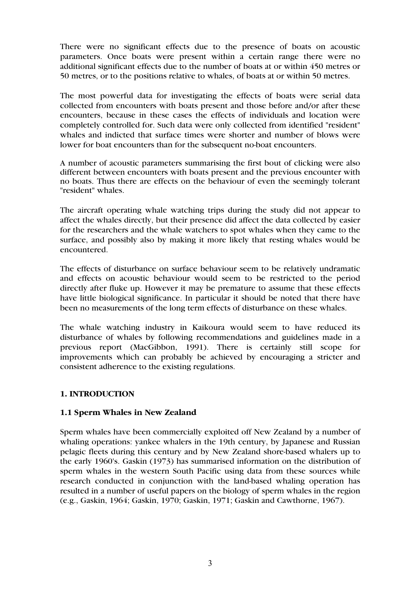There were no significant effects due to the presence of boats on acoustic parameters. Once boats were present within a certain range there were no additional significant effects due to the number of boats at or within 450 metres or 50 metres, or to the positions relative to whales, of boats at or within 50 metres.

The most powerful data for investigating the effects of boats were serial data collected from encounters with boats present and those before and/or after these encounters, because in these cases the effects of individuals and location were completely controlled for. Such data were only collected from identified "resident" whales and indicted that surface times were shorter and number of blows were lower for boat encounters than for the subsequent no-boat encounters.

A number of acoustic parameters summarising the first bout of clicking were also different between encounters with boats present and the previous encounter with no boats. Thus there are effects on the behaviour of even the seemingly tolerant "resident" whales.

The aircraft operating whale watching trips during the study did not appear to affect the whales directly, but their presence did affect the data collected by easier for the researchers and the whale watchers to spot whales when they came to the surface, and possibly also by making it more likely that resting whales would be encountered.

The effects of disturbance on surface behaviour seem to be relatively undramatic and effects on acoustic behaviour would seem to be restricted to the period directly after fluke up. However it may be premature to assume that these effects have little biological significance. In particular it should be noted that there have been no measurements of the long term effects of disturbance on these whales.

The whale watching industry in Kaikoura would seem to have reduced its disturbance of whales by following recommendations and guidelines made in a previous report (MacGibbon, 1991). There is certainly still scope for improvements which can probably be achieved by encouraging a stricter and consistent adherence to the existing regulations.

# 1. INTRODUCTION

# 1.1 Sperm Whales in New Zealand

Sperm whales have been commercially exploited off New Zealand by a number of whaling operations: yankee whalers in the 19th century, by Japanese and Russian pelagic fleets during this century and by New Zealand shore-based whalers up to the early 1960's. Gaskin (1973) has summarised information on the distribution of sperm whales in the western South Pacific using data from these sources while research conducted in conjunction with the land-based whaling operation has resulted in a number of useful papers on the biology of sperm whales in the region (e.g., Gaskin, 1964; Gaskin, 1970; Gaskin, 1971; Gaskin and Cawthorne, 1967).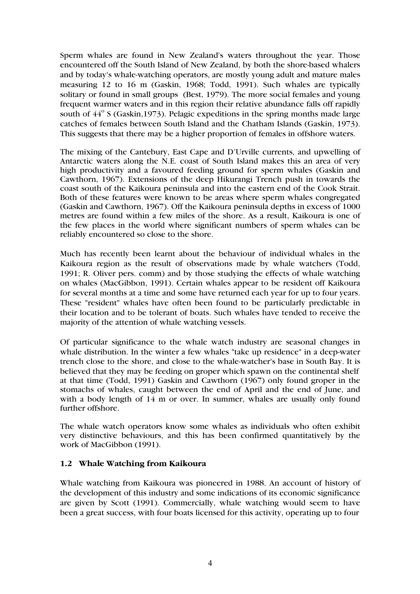Sperm whales are found in New Zealand's waters throughout the year. Those encountered off the South Island of New Zealand, by both the shore-based whalers and by today's whale-watching operators, are mostly young adult and mature males measuring 12 to 16 m (Gaskin, 1968; Todd, 1991). Such whales are typically solitary or found in small groups (Best, 1979). The more social females and young frequent warmer waters and in this region their relative abundance falls off rapidly south of  $44^{\circ}$  S (Gaskin, 1973). Pelagic expeditions in the spring months made large catches of females between South Island and the Chatham Islands (Gaskin, 1973). This suggests that there may be a higher proportion of females in offshore waters.

The mixing of the Cantebury, East Cape and D'Urville currents, and upwelling of Antarctic waters along the N.E. coast of South Island makes this an area of very high productivity and a favoured feeding ground for sperm whales (Gaskin and Cawthorn, 1967). Extensions of the deep Hikurangi Trench push in towards the coast south of the Kaikoura peninsula and into the eastern end of the Cook Strait. Both of these features were known to be areas where sperm whales congregated (Gaskin and Cawthorn, 1967). Off the Kaikoura peninsula depths in excess of 1000 metres are found within a few miles of the shore. As a result, Kaikoura is one of the few places in the world where significant numbers of sperm whales can be reliably encountered so close to the shore.

Much has recently been learnt about the behaviour of individual whales in the Kaikoura region as the result of observations made by whale watchers (Todd, 1991; R. Oliver pers. comm) and by those studying the effects of whale watching on whales (MacGibbon, 1991). Certain whales appear to be resident off Kaikoura for several months at a time and some have returned each year for up to four years. These "resident" whales have often been found to be particularly predictable in their location and to be tolerant of boats. Such whales have tended to receive the majority of the attention of whale watching vessels.

Of particular significance to the whale watch industry are seasonal changes in whale distribution. In the winter a few whales "take up residence" in a deep-water trench close to the shore, and close to the whale-watcher's base in South Bay. It is believed that they may be feeding on groper which spawn on the continental shelf at that time (Todd, 1991) Gaskin and Cawthorn (1967) only found groper in the stomachs of whales, caught between the end of April and the end of June, and with a body length of 14 m or over. In summer, whales are usually only found further offshore.

The whale watch operators know some whales as individuals who often exhibit very distinctive behaviours, and this has been confirmed quantitatively by the work of MacGibbon (1991).

#### 1.2 Whale Watching from Kaikoura

Whale watching from Kaikoura was pioneered in 1988. An account of history of the development of this industry and some indications of its economic significance are given by Scott (1991). Commercially, whale watching would seem to have been a great success, with four boats licensed for this activity, operating up to four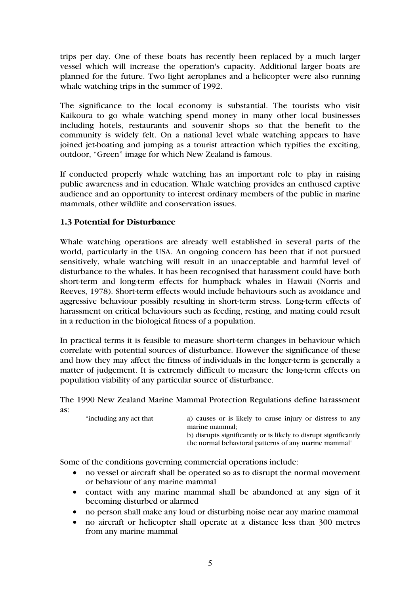trips per day. One of these boats has recently been replaced by a much larger vessel which will increase the operation's capacity. Additional larger boats are planned for the future. Two light aeroplanes and a helicopter were also running whale watching trips in the summer of 1992.

The significance to the local economy is substantial. The tourists who visit Kaikoura to go whale watching spend money in many other local businesses including hotels, restaurants and souvenir shops so that the benefit to the community is widely felt. On a national level whale watching appears to have joined jet-boating and jumping as a tourist attraction which typifies the exciting, outdoor, "Green" image for which New Zealand is famous.

If conducted properly whale watching has an important role to play in raising public awareness and in education. Whale watching provides an enthused captive audience and an opportunity to interest ordinary members of the public in marine mammals, other wildlife and conservation issues.

# 1.3 Potential for Disturbance

Whale watching operations are already well established in several parts of the world, particularly in the USA. An ongoing concern has been that if not pursued sensitively, whale watching will result in an unacceptable and harmful level of disturbance to the whales. It has been recognised that harassment could have both short-term and long-term effects for humpback whales in Hawaii (Norris and Reeves, 1978). Short-term effects would include behaviours such as avoidance and aggressive behaviour possibly resulting in short-term stress. Long-term effects of harassment on critical behaviours such as feeding, resting, and mating could result in a reduction in the biological fitness of a population.

In practical terms it is feasible to measure short-term changes in behaviour which correlate with potential sources of disturbance. However the significance of these and how they may affect the fitness of individuals in the longer-term is generally a matter of judgement. It is extremely difficult to measure the long-term effects on population viability of any particular source of disturbance.

The 1990 New Zealand Marine Mammal Protection Regulations define harassment as:

| "including any act that | a) causes or is likely to cause injury or distress to any<br>marine mammal:                                             |
|-------------------------|-------------------------------------------------------------------------------------------------------------------------|
|                         | b) disrupts significantly or is likely to disrupt significantly<br>the normal behavioral patterns of any marine mammal" |

Some of the conditions governing commercial operations include:

- no vessel or aircraft shall be operated so as to disrupt the normal movement or behaviour of any marine mammal
- contact with any marine mammal shall be abandoned at any sign of it becoming disturbed or alarmed
- no person shall make any loud or disturbing noise near any marine mammal
- no aircraft or helicopter shall operate at a distance less than 300 metres from any marine mammal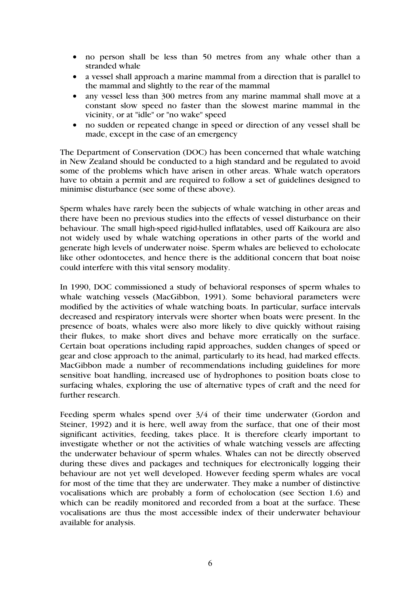- no person shall be less than 50 metres from any whale other than a stranded whale
- a vessel shall approach a marine mammal from a direction that is parallel to the mammal and slightly to the rear of the mammal
- any vessel less than 300 metres from any marine mammal shall move at a constant slow speed no faster than the slowest marine mammal in the vicinity, or at "idle" or "no wake" speed
- no sudden or repeated change in speed or direction of any vessel shall be made, except in the case of an emergency

The Department of Conservation (DOC) has been concerned that whale watching in New Zealand should be conducted to a high standard and be regulated to avoid some of the problems which have arisen in other areas. Whale watch operators have to obtain a permit and are required to follow a set of guidelines designed to minimise disturbance (see some of these above).

Sperm whales have rarely been the subjects of whale watching in other areas and there have been no previous studies into the effects of vessel disturbance on their behaviour. The small high-speed rigid-hulled inflatables, used off Kaikoura are also not widely used by whale watching operations in other parts of the world and generate high levels of underwater noise. Sperm whales are believed to echolocate like other odontocetes, and hence there is the additional concern that boat noise could interfere with this vital sensory modality.

In 1990, DOC commissioned a study of behavioral responses of sperm whales to whale watching vessels (MacGibbon, 1991). Some behavioral parameters were modified by the activities of whale watching boats. In particular, surface intervals decreased and respiratory intervals were shorter when boats were present. In the presence of boats, whales were also more likely to dive quickly without raising their flukes, to make short dives and behave more erratically on the surface. Certain boat operations including rapid approaches, sudden changes of speed or gear and close approach to the animal, particularly to its head, had marked effects. MacGibbon made a number of recommendations including guidelines for more sensitive boat handling, increased use of hydrophones to position boats close to surfacing whales, exploring the use of alternative types of craft and the need for further research.

Feeding sperm whales spend over 3/4 of their time underwater (Gordon and Steiner, 1992) and it is here, well away from the surface, that one of their most significant activities, feeding, takes place. It is therefore clearly important to investigate whether or not the activities of whale watching vessels are affecting the underwater behaviour of sperm whales. Whales can not be directly observed during these dives and packages and techniques for electronically logging their behaviour are not yet well developed. However feeding sperm whales are vocal for most of the time that they are underwater. They make a number of distinctive vocalisations which are probably a form of echolocation (see Section 1.6) and which can be readily monitored and recorded from a boat at the surface. These vocalisations are thus the most accessible index of their underwater behaviour available for analysis.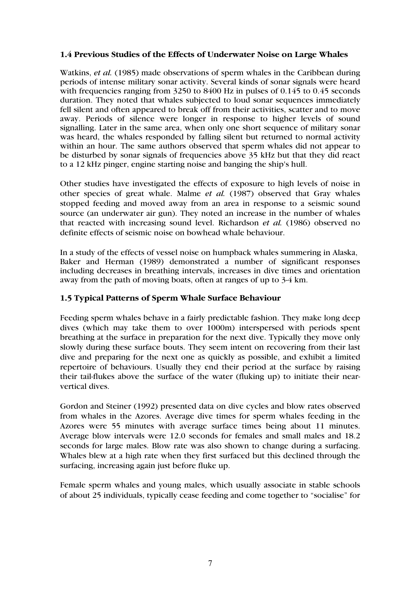# 1.4 Previous Studies of the Effects of Underwater Noise on Large Whales

Watkins, *et al.* (1985) made observations of sperm whales in the Caribbean during periods of intense military sonar activity. Several kinds of sonar signals were heard with frequencies ranging from 3250 to 8400 Hz in pulses of 0.145 to 0.45 seconds duration. They noted that whales subjected to loud sonar sequences immediately fell silent and often appeared to break off from their activities, scatter and to move away. Periods of silence were longer in response to higher levels of sound signalling. Later in the same area, when only one short sequence of military sonar was heard, the whales responded by falling silent but returned to normal activity within an hour. The same authors observed that sperm whales did not appear to be disturbed by sonar signals of frequencies above 35 kHz but that they did react to a 12 kHz pinger, engine starting noise and banging the ship's hull.

Other studies have investigated the effects of exposure to high levels of noise in other species of great whale. Malme *et al.* (1987) observed that Gray whales stopped feeding and moved away from an area in response to a seismic sound source (an underwater air gun). They noted an increase in the number of whales that reacted with increasing sound level. Richardson *et al.* (1986) observed no definite effects of seismic noise on bowhead whale behaviour.

In a study of the effects of vessel noise on humpback whales summering in Alaska, Baker and Herman (1989) demonstrated a number of significant responses including decreases in breathing intervals, increases in dive times and orientation away from the path of moving boats, often at ranges of up to 3-4 km.

#### 1.5 Typical Patterns of Sperm Whale Surface Behaviour

Feeding sperm whales behave in a fairly predictable fashion. They make long deep dives (which may take them to over 1000m) interspersed with periods spent breathing at the surface in preparation for the next dive. Typically they move only slowly during these surface bouts. They seem intent on recovering from their last dive and preparing for the next one as quickly as possible, and exhibit a limited repertoire of behaviours. Usually they end their period at the surface by raising their tail-flukes above the surface of the water (fluking up) to initiate their nearvertical dives.

Gordon and Steiner (1992) presented data on dive cycles and blow rates observed from whales in the Azores. Average dive times for sperm whales feeding in the Azores were 55 minutes with average surface times being about 11 minutes. Average blow intervals were 12.0 seconds for females and small males and 18.2 seconds for large males. Blow rate was also shown to change during a surfacing. Whales blew at a high rate when they first surfaced but this declined through the surfacing, increasing again just before fluke up.

Female sperm whales and young males, which usually associate in stable schools of about 25 individuals, typically cease feeding and come together to "socialise" for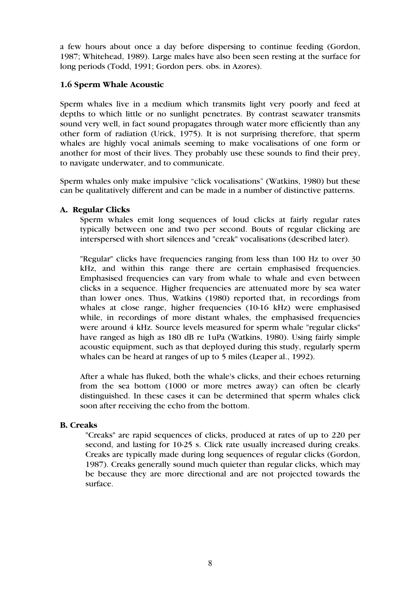a few hours about once a day before dispersing to continue feeding (Gordon, 1987; Whitehead, 1989). Large males have also been seen resting at the surface for long periods (Todd, 1991; Gordon pers. obs. in Azores).

### 1.6 Sperm Whale Acoustic

Sperm whales live in a medium which transmits light very poorly and feed at depths to which little or no sunlight penetrates. By contrast seawater transmits sound very well, in fact sound propagates through water more efficiently than any other form of radiation (Urick, 1975). It is not surprising therefore, that sperm whales are highly vocal animals seeming to make vocalisations of one form or another for most of their lives. They probably use these sounds to find their prey, to navigate underwater, and to communicate.

Sperm whales only make impulsive "click vocalisations" (Watkins, 1980) but these can be qualitatively different and can be made in a number of distinctive patterns.

### A. Regular Clicks

Sperm whales emit long sequences of loud clicks at fairly regular rates typically between one and two per second. Bouts of regular clicking are interspersed with short silences and "creak" vocalisations (described later).

"Regular" clicks have frequencies ranging from less than 100 Hz to over 30 kHz, and within this range there are certain emphasised frequencies. Emphasised frequencies can vary from whale to whale and even between clicks in a sequence. Higher frequencies are attenuated more by sea water than lower ones. Thus, Watkins (1980) reported that, in recordings from whales at close range, higher frequencies (10-16 kHz) were emphasised while, in recordings of more distant whales, the emphasised frequencies were around 4 kHz. Source levels measured for sperm whale "regular clicks" have ranged as high as 180 dB re 1uPa (Watkins, 1980). Using fairly simple acoustic equipment, such as that deployed during this study, regularly sperm whales can be heard at ranges of up to 5 miles (Leaper al., 1992).

After a whale has fluked, both the whale's clicks, and their echoes returning from the sea bottom (1000 or more metres away) can often be clearly distinguished. In these cases it can be determined that sperm whales click soon after receiving the echo from the bottom.

#### B. Creaks

"Creaks" are rapid sequences of clicks, produced at rates of up to 220 per second, and lasting for 10-25 s. Click rate usually increased during creaks. Creaks are typically made during long sequences of regular clicks (Gordon, 1987). Creaks generally sound much quieter than regular clicks, which may be because they are more directional and are not projected towards the surface.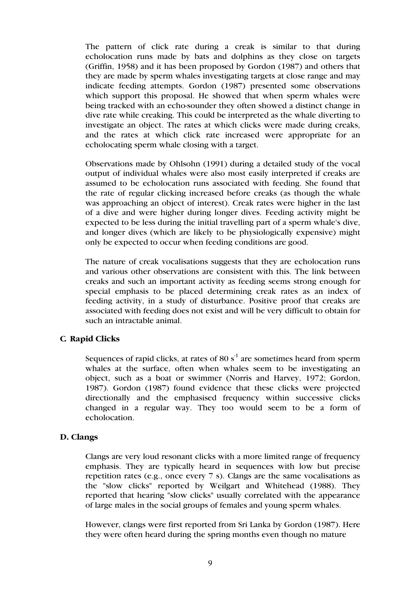The pattern of click rate during a creak is similar to that during echolocation runs made by bats and dolphins as they close on targets (Griffin, 1958) and it has been proposed by Gordon (1987) and others that they are made by sperm whales investigating targets at close range and may indicate feeding attempts. Gordon (1987) presented some observations which support this proposal. He showed that when sperm whales were being tracked with an echo-sounder they often showed a distinct change in dive rate while creaking. This could be interpreted as the whale diverting to investigate an object. The rates at which clicks were made during creaks, and the rates at which click rate increased were appropriate for an echolocating sperm whale closing with a target.

Observations made by Ohlsohn (1991) during a detailed study of the vocal output of individual whales were also most easily interpreted if creaks are assumed to be echolocation runs associated with feeding. She found that the rate of regular clicking increased before creaks (as though the whale was approaching an object of interest). Creak rates were higher in the last of a dive and were higher during longer dives. Feeding activity might be expected to be less during the initial travelling part of a sperm whale's dive, and longer dives (which are likely to be physiologically expensive) might only be expected to occur when feeding conditions are good.

The nature of creak vocalisations suggests that they are echolocation runs and various other observations are consistent with this. The link between creaks and such an important activity as feeding seems strong enough for special emphasis to be placed determining creak rates as an index of feeding activity, in a study of disturbance. Positive proof that creaks are associated with feeding does not exist and will be very difficult to obtain for such an intractable animal.

#### C*.* Rapid Clicks

Sequences of rapid clicks, at rates of 80  $s<sup>-1</sup>$  are sometimes heard from sperm whales at the surface, often when whales seem to be investigating an object, such as a boat or swimmer (Norris and Harvey, 1972; Gordon, 1987). Gordon (1987) found evidence that these clicks were projected directionally and the emphasised frequency within successive clicks changed in a regular way. They too would seem to be a form of echolocation.

#### D. Clangs

Clangs are very loud resonant clicks with a more limited range of frequency emphasis. They are typically heard in sequences with low but precise repetition rates (e.g., once every 7 s). Clangs are the same vocalisations as the "slow clicks" reported by Weilgart and Whitehead (1988). They reported that hearing "slow clicks" usually correlated with the appearance of large males in the social groups of females and young sperm whales.

However, clangs were first reported from Sri Lanka by Gordon (1987). Here they were often heard during the spring months even though no mature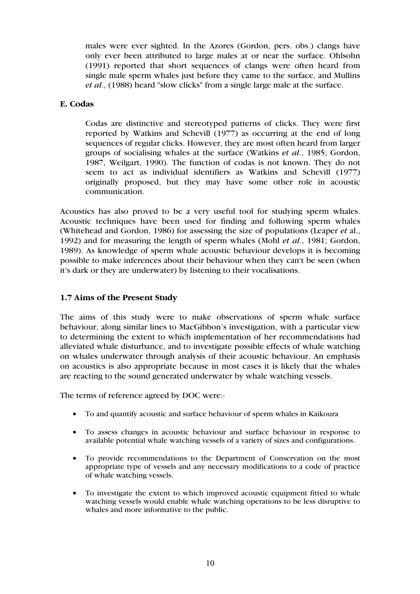males were ever sighted. In the Azores (Gordon, pers. obs.) clangs have only ever been attributed to large males at or near the surface. Ohlsohn (1991) reported that short sequences of clangs were often heard from single male sperm whales just before they came to the surface, and Mullins *et al*., (1988) heard "slow clicks" from a single large male at the surface.

# E. Codas

Codas are distinctive and stereotyped patterns of clicks. They were first reported by Watkins and Schevill (1977) as occurring at the end of long sequences of regular clicks. However, they are most often heard from larger groups of socialising whales at the surface (Watkins *et al*., 1985; Gordon, 1987, Weilgart, 1990). The function of codas is not known. They do not seem to act as individual identifiers as Watkins and Schevill (1977) originally proposed, but they may have some other role in acoustic communication.

Acoustics has also proved to be a very useful tool for studying sperm whales. Acoustic techniques have been used for finding and following sperm whales (Whitehead and Gordon, 1986) for assessing the size of populations (Leaper *et* al., 1992) and for measuring the length of sperm whales (Mohl *et al*., 1981; Gordon, 1989). As knowledge of sperm whale acoustic behaviour develops it is becoming possible to make inferences about their behaviour when they can't be seen (when it's dark or they are underwater) by listening to their vocalisations.

# 1.7 Aims of the Present Study

The aims of this study were to make observations of sperm whale surface behaviour, along similar lines to MacGibbon's investigation, with a particular view to determining the extent to which implementation of her recommendations had alleviated whale disturbance, and to investigate possible effects of whale watching on whales underwater through analysis of their acoustic behaviour. An emphasis on acoustics is also appropriate because in most cases it is likely that the whales are reacting to the sound generated underwater by whale watching vessels.

The terms of reference agreed by DOC were:-

- To and quantify acoustic and surface behaviour of sperm whales in Kaikoura
- To assess changes in acoustic behaviour and surface behaviour in response to available potential whale watching vessels of a variety of sizes and configurations.
- To provide recommendations to the Department of Conservation on the most appropriate type of vessels and any necessary modifications to a code of practice of whale watching vessels.
- To investigate the extent to which improved acoustic equipment fitted to whale watching vessels would enable whale watching operations to be less disruptive to whales and more informative to the public.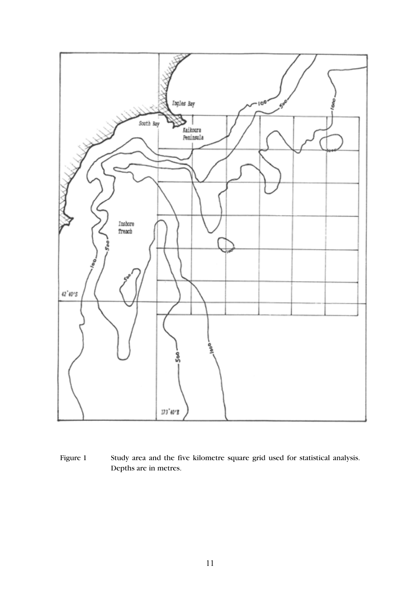

Figure 1 Study area and the five kilometre square grid used for statistical analysis. Depths are in metres.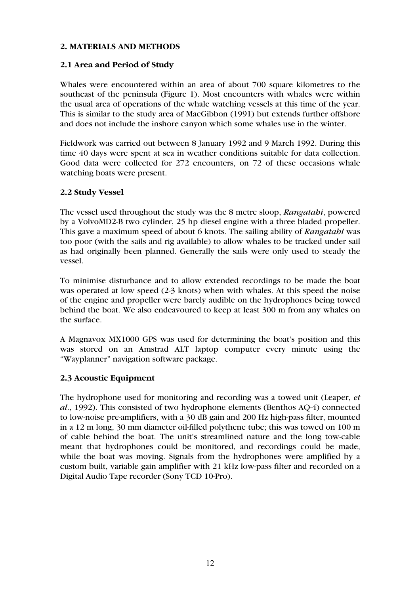## 2. MATERIALS AND METHODS

# 2.1 Area and Period of Study

Whales were encountered within an area of about 700 square kilometres to the southeast of the peninsula (Figure 1). Most encounters with whales were within the usual area of operations of the whale watching vessels at this time of the year. This is similar to the study area of MacGibbon (1991) but extends further offshore and does not include the inshore canyon which some whales use in the winter.

Fieldwork was carried out between 8 January 1992 and 9 March 1992. During this time 40 days were spent at sea in weather conditions suitable for data collection. Good data were collected for 272 encounters, on 72 of these occasions whale watching boats were present.

#### 2.2 Study Vessel

The vessel used throughout the study was the 8 metre sloop, *Rangatahi*, powered by a VolvoMD2-B two cylinder, 25 hp diesel engine with a three bladed propeller. This gave a maximum speed of about 6 knots. The sailing ability of *Rangatahi* was too poor (with the sails and rig available) to allow whales to be tracked under sail as had originally been planned. Generally the sails were only used to steady the vessel.

To minimise disturbance and to allow extended recordings to be made the boat was operated at low speed (2-3 knots) when with whales. At this speed the noise of the engine and propeller were barely audible on the hydrophones being towed behind the boat. We also endeavoured to keep at least 300 m from any whales on the surface.

A Magnavox MX1000 GPS was used for determining the boat's position and this was stored on an Amstrad ALT laptop computer every minute using the "Wayplanner" navigation software package.

# 2.3 Acoustic Equipment

The hydrophone used for monitoring and recording was a towed unit (Leaper, *et al*., 1992). This consisted of two hydrophone elements (Benthos AQ-4) connected to low-noise pre-amplifiers, with a 30 dB gain and 200 Hz high-pass filter, mounted in a 12 m long, 30 mm diameter oil-filled polythene tube; this was towed on 100 m of cable behind the boat. The unit's streamlined nature and the long tow-cable meant that hydrophones could be monitored, and recordings could be made, while the boat was moving. Signals from the hydrophones were amplified by a custom built, variable gain amplifier with 21 kHz low-pass filter and recorded on a Digital Audio Tape recorder (Sony TCD 10-Pro).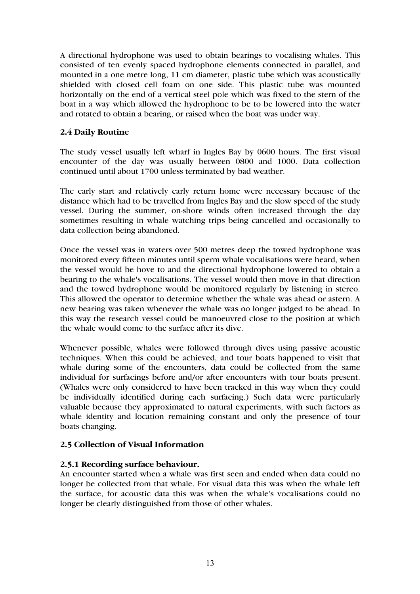A directional hydrophone was used to obtain bearings to vocalising whales. This consisted of ten evenly spaced hydrophone elements connected in parallel, and mounted in a one metre long, 11 cm diameter, plastic tube which was acoustically shielded with closed cell foam on one side. This plastic tube was mounted horizontally on the end of a vertical steel pole which was fixed to the stern of the boat in a way which allowed the hydrophone to be to be lowered into the water and rotated to obtain a bearing, or raised when the boat was under way.

# 2.4 Daily Routine

The study vessel usually left wharf in Ingles Bay by 0600 hours. The first visual encounter of the day was usually between 0800 and 1000. Data collection continued until about 1700 unless terminated by bad weather.

The early start and relatively early return home were necessary because of the distance which had to be travelled from Ingles Bay and the slow speed of the study vessel. During the summer, on-shore winds often increased through the day sometimes resulting in whale watching trips being cancelled and occasionally to data collection being abandoned.

Once the vessel was in waters over 500 metres deep the towed hydrophone was monitored every fifteen minutes until sperm whale vocalisations were heard, when the vessel would be hove to and the directional hydrophone lowered to obtain a bearing to the whale's vocalisations. The vessel would then move in that direction and the towed hydrophone would be monitored regularly by listening in stereo. This allowed the operator to determine whether the whale was ahead or astern. A new bearing was taken whenever the whale was no longer judged to be ahead. In this way the research vessel could be manoeuvred close to the position at which the whale would come to the surface after its dive.

Whenever possible, whales were followed through dives using passive acoustic techniques. When this could be achieved, and tour boats happened to visit that whale during some of the encounters, data could be collected from the same individual for surfacings before and/or after encounters with tour boats present. (Whales were only considered to have been tracked in this way when they could be individually identified during each surfacing.) Such data were particularly valuable because they approximated to natural experiments, with such factors as whale identity and location remaining constant and only the presence of tour boats changing.

# 2.5 Collection of Visual Information

# 2.5.1 Recording surface behaviour.

An encounter started when a whale was first seen and ended when data could no longer be collected from that whale. For visual data this was when the whale left the surface, for acoustic data this was when the whale's vocalisations could no longer be clearly distinguished from those of other whales.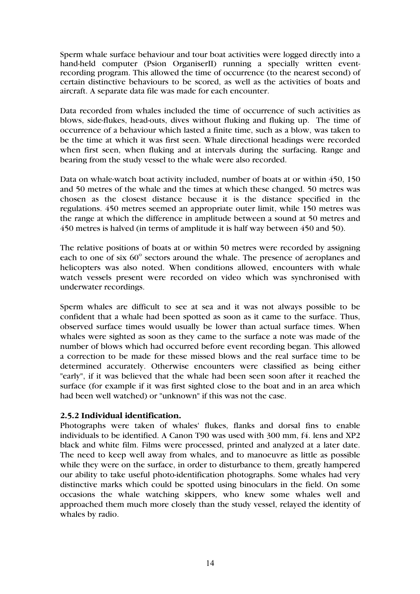Sperm whale surface behaviour and tour boat activities were logged directly into a hand-held computer (Psion OrganiserII) running a specially written eventrecording program. This allowed the time of occurrence (to the nearest second) of certain distinctive behaviours to be scored, as well as the activities of boats and aircraft. A separate data file was made for each encounter.

Data recorded from whales included the time of occurrence of such activities as blows, side-flukes, head-outs, dives without fluking and fluking up. The time of occurrence of a behaviour which lasted a finite time, such as a blow, was taken to be the time at which it was first seen. Whale directional headings were recorded when first seen, when fluking and at intervals during the surfacing. Range and bearing from the study vessel to the whale were also recorded.

Data on whale-watch boat activity included, number of boats at or within 450, 150 and 50 metres of the whale and the times at which these changed. 50 metres was chosen as the closest distance because it is the distance specified in the regulations. 450 metres seemed an appropriate outer limit, while 150 metres was the range at which the difference in amplitude between a sound at 50 metres and 450 metres is halved (in terms of amplitude it is half way between 450 and 50).

The relative positions of boats at or within 50 metres were recorded by assigning each to one of six 60° sectors around the whale. The presence of aeroplanes and helicopters was also noted. When conditions allowed, encounters with whale watch vessels present were recorded on video which was synchronised with underwater recordings.

Sperm whales are difficult to see at sea and it was not always possible to be confident that a whale had been spotted as soon as it came to the surface. Thus, observed surface times would usually be lower than actual surface times. When whales were sighted as soon as they came to the surface a note was made of the number of blows which had occurred before event recording began. This allowed a correction to be made for these missed blows and the real surface time to be determined accurately. Otherwise encounters were classified as being either "early", if it was believed that the whale had been seen soon after it reached the surface (for example if it was first sighted close to the boat and in an area which had been well watched) or "unknown" if this was not the case.

#### 2.5.2 Individual identification.

Photographs were taken of whales' flukes, flanks and dorsal fins to enable individuals to be identified. A Canon T90 was used with 300 mm, f4. lens and XP2 black and white film. Films were processed, printed and analyzed at a later date. The need to keep well away from whales, and to manoeuvre as little as possible while they were on the surface, in order to disturbance to them, greatly hampered our ability to take useful photo-identification photographs. Some whales had very distinctive marks which could be spotted using binoculars in the field. On some occasions the whale watching skippers, who knew some whales well and approached them much more closely than the study vessel, relayed the identity of whales by radio.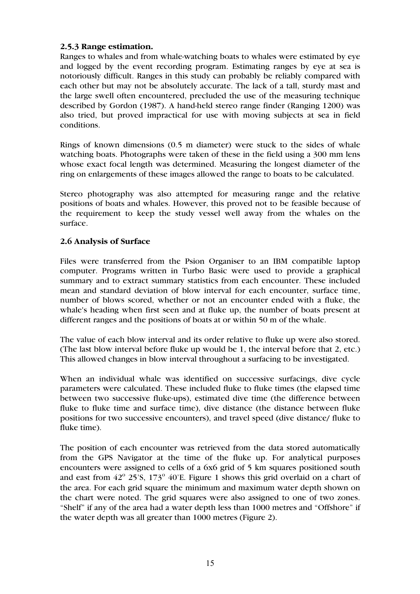# 2.5.3 Range estimation.

Ranges to whales and from whale-watching boats to whales were estimated by eye and logged by the event recording program. Estimating ranges by eye at sea is notoriously difficult. Ranges in this study can probably be reliably compared with each other but may not be absolutely accurate. The lack of a tall, sturdy mast and the large swell often encountered, precluded the use of the measuring technique described by Gordon (1987). A hand-held stereo range finder (Ranging 1200) was also tried, but proved impractical for use with moving subjects at sea in field conditions.

Rings of known dimensions (0.5 m diameter) were stuck to the sides of whale watching boats. Photographs were taken of these in the field using a 300 mm lens whose exact focal length was determined. Measuring the longest diameter of the ring on enlargements of these images allowed the range to boats to be calculated.

Stereo photography was also attempted for measuring range and the relative positions of boats and whales. However, this proved not to be feasible because of the requirement to keep the study vessel well away from the whales on the surface.

### 2.6 Analysis of Surface

Files were transferred from the Psion Organiser to an IBM compatible laptop computer. Programs written in Turbo Basic were used to provide a graphical summary and to extract summary statistics from each encounter. These included mean and standard deviation of blow interval for each encounter, surface time, number of blows scored, whether or not an encounter ended with a fluke, the whale's heading when first seen and at fluke up, the number of boats present at different ranges and the positions of boats at or within 50 m of the whale.

The value of each blow interval and its order relative to fluke up were also stored. (The last blow interval before fluke up would be 1, the interval before that 2, etc.) This allowed changes in blow interval throughout a surfacing to be investigated.

When an individual whale was identified on successive surfacings, dive cycle parameters were calculated. These included fluke to fluke times (the elapsed time between two successive fluke-ups), estimated dive time (the difference between fluke to fluke time and surface time), dive distance (the distance between fluke positions for two successive encounters), and travel speed (dive distance/ fluke to fluke time).

The position of each encounter was retrieved from the data stored automatically from the GPS Navigator at the time of the fluke up. For analytical purposes encounters were assigned to cells of a 6x6 grid of 5 km squares positioned south and east from  $42^{\circ}$  25'S, 173 $^{\circ}$  40'E. Figure 1 shows this grid overlaid on a chart of the area. For each grid square the minimum and maximum water depth shown on the chart were noted. The grid squares were also assigned to one of two zones. "Shelf" if any of the area had a water depth less than 1000 metres and "Offshore" if the water depth was all greater than 1000 metres (Figure 2).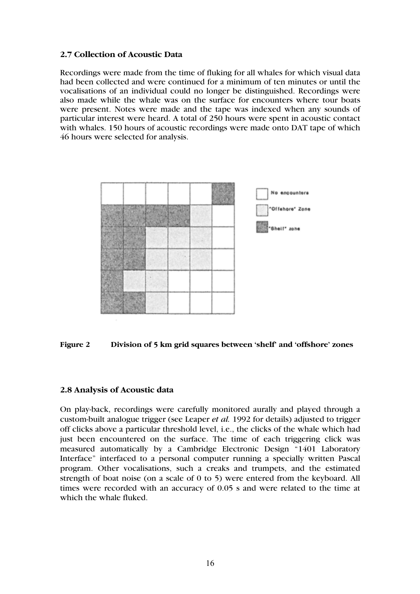### 2.7 Collection of Acoustic Data

Recordings were made from the time of fluking for all whales for which visual data had been collected and were continued for a minimum of ten minutes or until the vocalisations of an individual could no longer be distinguished. Recordings were also made while the whale was on the surface for encounters where tour boats were present. Notes were made and the tape was indexed when any sounds of particular interest were heard. A total of 250 hours were spent in acoustic contact with whales. 150 hours of acoustic recordings were made onto DAT tape of which 46 hours were selected for analysis.



Figure 2 Division of 5 km grid squares between 'shelf' and 'offshore' zones

#### 2.8 Analysis of Acoustic data

On play-back, recordings were carefully monitored aurally and played through a custom-built analogue trigger (see Leaper *et al.* 1992 for details) adjusted to trigger off clicks above a particular threshold level, i.e., the clicks of the whale which had just been encountered on the surface. The time of each triggering click was measured automatically by a Cambridge Electronic Design "1401 Laboratory Interface" interfaced to a personal computer running a specially written Pascal program. Other vocalisations, such a creaks and trumpets, and the estimated strength of boat noise (on a scale of 0 to 5) were entered from the keyboard. All times were recorded with an accuracy of 0.05 s and were related to the time at which the whale fluked.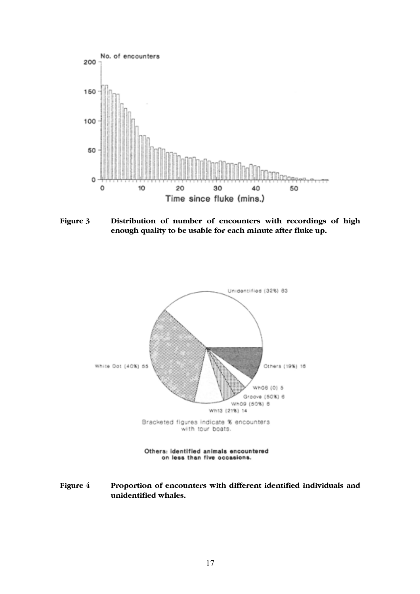

Figure 3 Distribution of number of encounters with recordings of high enough quality to be usable for each minute after fluke up.



Figure 4 Proportion of encounters with different identified individuals and unidentified whales.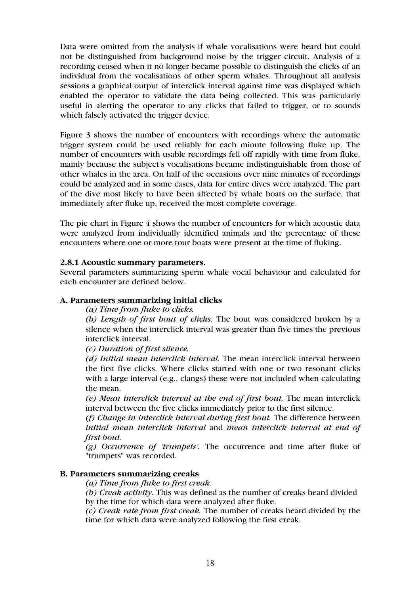Data were omitted from the analysis if whale vocalisations were heard but could not be distinguished from background noise by the trigger circuit. Analysis of a recording ceased when it no longer became possible to distinguish the clicks of an individual from the vocalisations of other sperm whales. Throughout all analysis sessions a graphical output of interclick interval against time was displayed which enabled the operator to validate the data being collected. This was particularly useful in alerting the operator to any clicks that failed to trigger, or to sounds which falsely activated the trigger device.

Figure 3 shows the number of encounters with recordings where the automatic trigger system could be used reliably for each minute following fluke up. The number of encounters with usable recordings fell off rapidly with time from fluke, mainly because the subject's vocalisations became indistinguishable from those of other whales in the area. On half of the occasions over nine minutes of recordings could be analyzed and in some cases, data for entire dives were analyzed. The part of the dive most likely to have been affected by whale boats on the surface, that immediately after fluke up, received the most complete coverage.

The pie chart in Figure 4 shows the number of encounters for which acoustic data were analyzed from individually identified animals and the percentage of these encounters where one or more tour boats were present at the time of fluking.

#### 2.8.1 Acoustic summary parameters.

Several parameters summarizing sperm whale vocal behaviour and calculated for each encounter are defined below.

#### A. Parameters summarizing initial clicks

*(a) Time from fluke to clicks.* 

*(b) Length of first bout of clicks.* The bout was considered broken by a silence when the interclick interval was greater than five times the previous interclick interval.

*(c) Duration of first silence.* 

*(d) Initial mean interclick interval.* The mean interclick interval between the first five clicks. Where clicks started with one or two resonant clicks with a large interval (e.g., clangs) these were not included when calculating the mean.

*(e) Mean interclick interval at the end of first bout.* The mean interclick interval between the five clicks immediately prior to the first silence.

*(f) Change in interclick interval during first bout.* The difference between *initial mean interclick interval* and *mean interclick interval at end of first bout.* 

*(g) Occurrence of 'trumpets'.* The occurrence and time after fluke of "trumpets" was recorded.

#### B. Parameters summarizing creaks

*(a) Time from fluke to first creak.* 

*(b) Creak activity.* This was defined as the number of creaks heard divided by the time for which data were analyzed after fluke.

*(c) Creak rate from first creak.* The number of creaks heard divided by the time for which data were analyzed following the first creak.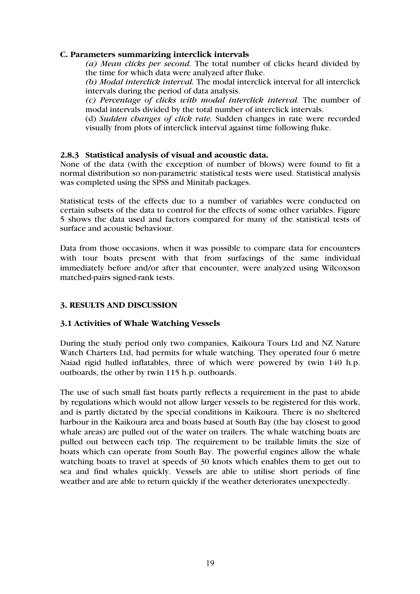#### C. Parameters summarizing interclick intervals

*(a) Mean clicks per second.* The total number of clicks heard divided by the time for which data were analyzed after fluke.

*(b) Modal interclick interval.* The modal interclick interval for all interclick intervals during the period of data analysis.

*(c) Percentage of clicks with modal interclick interval.* The number of modal intervals divided by the total number of interclick intervals.

(d) *Sudden changes of click rate.* Sudden changes in rate were recorded visually from plots of interclick interval against time following fluke.

### 2.8.3 Statistical analysis of visual and acoustic data.

None of the data (with the exception of number of blows) were found to fit a normal distribution so non-parametric statistical tests were used. Statistical analysis was completed using the SPSS and Minitab packages.

Statistical tests of the effects due to a number of variables were conducted on certain subsets of the data to control for the effects of some other variables. Figure 5 shows the data used and factors compared for many of the statistical tests of surface and acoustic behaviour.

Data from those occasions, when it was possible to compare data for encounters with tour boats present with that from surfacings of the same individual immediately before and/or after that encounter, were analyzed using Wilcoxson matched-pairs signed-rank tests.

# 3. RESULTS AND DISCUSSION

#### 3.1 Activities of Whale Watching Vessels

During the study period only two companies, Kaikoura Tours Ltd and NZ Nature Watch Charters Ltd, had permits for whale watching. They operated four 6 metre Naiad rigid hulled inflatables, three of which were powered by twin 140 h.p. outboards, the other by twin 115 h.p. outboards.

The use of such small fast boats partly reflects a requirement in the past to abide by regulations which would not allow larger vessels to be registered for this work, and is partly dictated by the special conditions in Kaikoura. There is no sheltered harbour in the Kaikoura area and boats based at South Bay (the bay closest to good whale areas) are pulled out of the water on trailers. The whale watching boats are pulled out between each trip. The requirement to be trailable limits the size of boats which can operate from South Bay. The powerful engines allow the whale watching boats to travel at speeds of 30 knots which enables them to get out to sea and find whales quickly. Vessels are able to utilise short periods of fine weather and are able to return quickly if the weather deteriorates unexpectedly.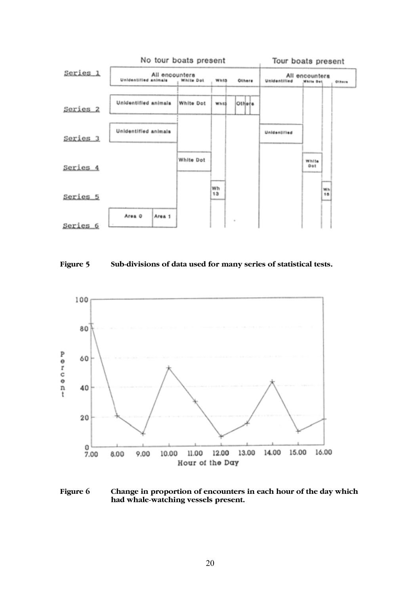





Figure 6 Change in proportion of encounters in each hour of the day which had whale-watching vessels present.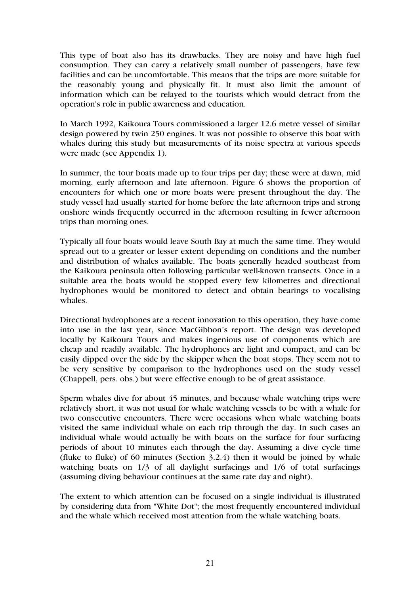This type of boat also has its drawbacks. They are noisy and have high fuel consumption. They can carry a relatively small number of passengers, have few facilities and can be uncomfortable. This means that the trips are more suitable for the reasonably young and physically fit. It must also limit the amount of information which can be relayed to the tourists which would detract from the operation's role in public awareness and education.

In March 1992, Kaikoura Tours commissioned a larger 12.6 metre vessel of similar design powered by twin 250 engines. It was not possible to observe this boat with whales during this study but measurements of its noise spectra at various speeds were made (see Appendix 1).

In summer, the tour boats made up to four trips per day; these were at dawn, mid morning, early afternoon and late afternoon. Figure 6 shows the proportion of encounters for which one or more boats were present throughout the day. The study vessel had usually started for home before the late afternoon trips and strong onshore winds frequently occurred in the afternoon resulting in fewer afternoon trips than morning ones.

Typically all four boats would leave South Bay at much the same time. They would spread out to a greater or lesser extent depending on conditions and the number and distribution of whales available. The boats generally headed southeast from the Kaikoura peninsula often following particular well-known transects. Once in a suitable area the boats would be stopped every few kilometres and directional hydrophones would be monitored to detect and obtain bearings to vocalising whales.

Directional hydrophones are a recent innovation to this operation, they have come into use in the last year, since MacGibbon's report. The design was developed locally by Kaikoura Tours and makes ingenious use of components which are cheap and readily available. The hydrophones are light and compact, and can be easily dipped over the side by the skipper when the boat stops. They seem not to be very sensitive by comparison to the hydrophones used on the study vessel (Chappell, pers. obs.) but were effective enough to be of great assistance.

Sperm whales dive for about 45 minutes, and because whale watching trips were relatively short, it was not usual for whale watching vessels to be with a whale for two consecutive encounters. There were occasions when whale watching boats visited the same individual whale on each trip through the day. In such cases an individual whale would actually be with boats on the surface for four surfacing periods of about 10 minutes each through the day. Assuming a dive cycle time (fluke to fluke) of 60 minutes (Section  $3.2.4$ ) then it would be joined by whale watching boats on  $1/3$  of all daylight surfacings and  $1/6$  of total surfacings (assuming diving behaviour continues at the same rate day and night).

The extent to which attention can be focused on a single individual is illustrated by considering data from "White Dot"; the most frequently encountered individual and the whale which received most attention from the whale watching boats.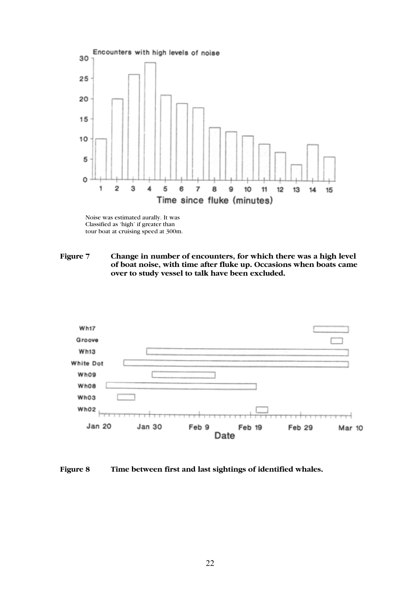

Noise was estimated aurally. It was Classified as 'high' if greater than tour boat at cruising speed at 300m.

Figure 7 Change in number of encounters, for which there was a high level of boat noise, with time after fluke up. Occasions when boats came over to study vessel to talk have been excluded.



Figure 8 Time between first and last sightings of identified whales.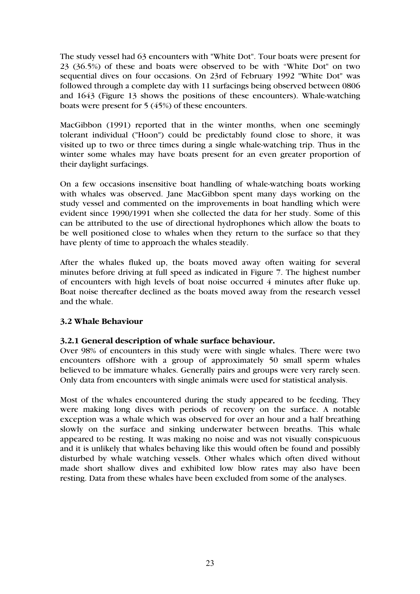The study vessel had 63 encounters with "White Dot". Tour boats were present for 23 (36.5%) of these and boats were observed to be with "White Dot" on two sequential dives on four occasions. On 23rd of February 1992 "White Dot" was followed through a complete day with 11 surfacings being observed between 0806 and 1643 (Figure 13 shows the positions of these encounters). Whale-watching boats were present for 5 (45%) of these encounters.

MacGibbon (1991) reported that in the winter months, when one seemingly tolerant individual ("Hoon") could be predictably found close to shore, it was visited up to two or three times during a single whale-watching trip. Thus in the winter some whales may have boats present for an even greater proportion of their daylight surfacings.

On a few occasions insensitive boat handling of whale-watching boats working with whales was observed. Jane MacGibbon spent many days working on the study vessel and commented on the improvements in boat handling which were evident since 1990/1991 when she collected the data for her study. Some of this can be attributed to the use of directional hydrophones which allow the boats to be well positioned close to whales when they return to the surface so that they have plenty of time to approach the whales steadily.

After the whales fluked up, the boats moved away often waiting for several minutes before driving at full speed as indicated in Figure 7. The highest number of encounters with high levels of boat noise occurred 4 minutes after fluke up. Boat noise thereafter declined as the boats moved away from the research vessel and the whale.

# 3.2 Whale Behaviour

# 3.2.1 General description of whale surface behaviour.

Over 98% of encounters in this study were with single whales. There were two encounters offshore with a group of approximately 50 small sperm whales believed to be immature whales. Generally pairs and groups were very rarely seen. Only data from encounters with single animals were used for statistical analysis.

Most of the whales encountered during the study appeared to be feeding. They were making long dives with periods of recovery on the surface. A notable exception was a whale which was observed for over an hour and a half breathing slowly on the surface and sinking underwater between breaths. This whale appeared to be resting. It was making no noise and was not visually conspicuous and it is unlikely that whales behaving like this would often be found and possibly disturbed by whale watching vessels. Other whales which often dived without made short shallow dives and exhibited low blow rates may also have been resting. Data from these whales have been excluded from some of the analyses.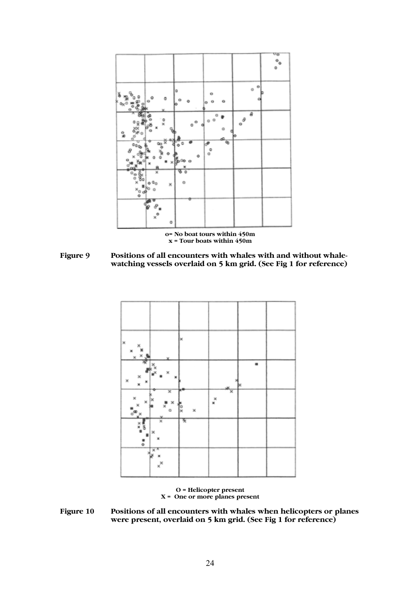

Figure 9 Positions of all encounters with whales with and without whalewatching vessels overlaid on 5 km grid. (See Fig 1 for reference)



O = Helicopter present X = One or more planes present

Figure 10 Positions of all encounters with whales when helicopters or planes were present, overlaid on 5 km grid. (See Fig 1 for reference)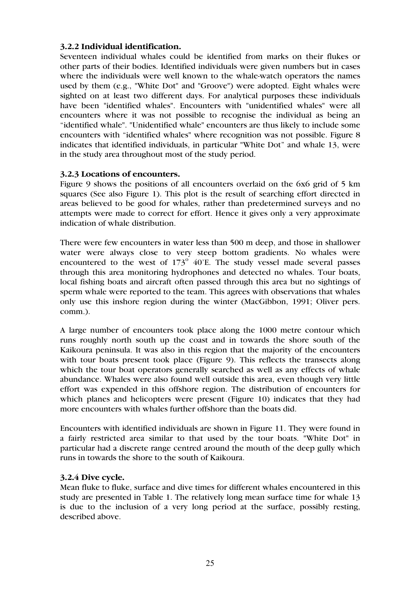# 3.2.2 Individual identification.

Seventeen individual whales could be identified from marks on their flukes or other parts of their bodies. Identified individuals were given numbers but in cases where the individuals were well known to the whale-watch operators the names used by them (e.g., "White Dot" and "Groove") were adopted. Eight whales were sighted on at least two different days. For analytical purposes these individuals have been "identified whales". Encounters with "unidentified whales" were all encounters where it was not possible to recognise the individual as being an "identified whale". "Unidentified whale" encounters are thus likely to include some encounters with "identified whales" where recognition was not possible. Figure 8 indicates that identified individuals, in particular "White Dot" and whale 13, were in the study area throughout most of the study period.

### 3.2.3 Locations of encounters.

Figure 9 shows the positions of all encounters overlaid on the 6x6 grid of 5 km squares (See also Figure 1). This plot is the result of searching effort directed in areas believed to be good for whales, rather than predetermined surveys and no attempts were made to correct for effort. Hence it gives only a very approximate indication of whale distribution.

There were few encounters in water less than 500 m deep, and those in shallower water were always close to very steep bottom gradients. No whales were encountered to the west of  $173^\circ$  40'E. The study vessel made several passes through this area monitoring hydrophones and detected no whales. Tour boats, local fishing boats and aircraft often passed through this area but no sightings of sperm whale were reported to the team. This agrees with observations that whales only use this inshore region during the winter (MacGibbon, 1991; Oliver pers. comm.).

A large number of encounters took place along the 1000 metre contour which runs roughly north south up the coast and in towards the shore south of the Kaikoura peninsula. It was also in this region that the majority of the encounters with tour boats present took place (Figure 9). This reflects the transects along which the tour boat operators generally searched as well as any effects of whale abundance. Whales were also found well outside this area, even though very little effort was expended in this offshore region. The distribution of encounters for which planes and helicopters were present (Figure 10) indicates that they had more encounters with whales further offshore than the boats did.

Encounters with identified individuals are shown in Figure 11. They were found in a fairly restricted area similar to that used by the tour boats. "White Dot" in particular had a discrete range centred around the mouth of the deep gully which runs in towards the shore to the south of Kaikoura.

#### 3.2.4 Dive cycle.

Mean fluke to fluke, surface and dive times for different whales encountered in this study are presented in Table 1. The relatively long mean surface time for whale 13 is due to the inclusion of a very long period at the surface, possibly resting, described above.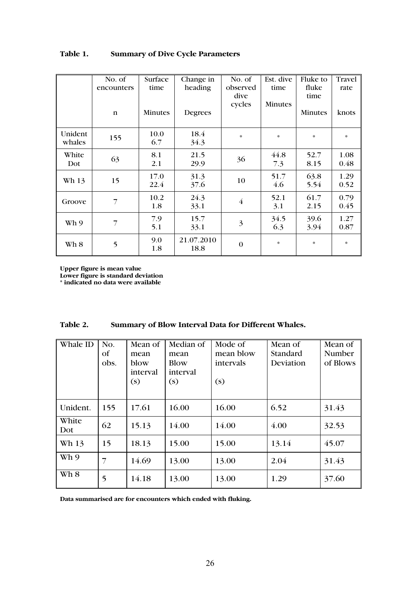|                   | No. of<br>encounters | Surface<br>time | Change in<br>heading | No. of<br>observed<br>dive<br>cycles | Est. dive<br>time<br>Minutes | Fluke to<br>fluke<br>time | Travel<br>rate |
|-------------------|----------------------|-----------------|----------------------|--------------------------------------|------------------------------|---------------------------|----------------|
|                   | $\mathfrak n$        | Minutes         | Degrees              |                                      |                              | Minutes                   | knots          |
| Unident<br>whales | 155                  | 10.0<br>6.7     | 18.4<br>34.3         | $\ast$                               | $\ast$                       | $\ast$                    | $\ast$         |
| White<br>Dot      | 63                   | 8.1<br>2.1      | 21.5<br>29.9         | 36                                   | 44.8<br>7.3                  | 52.7<br>8.15              | 1.08<br>0.48   |
| Wh 13             | 15                   | 17.0<br>22.4    | 31.3<br>37.6         | 10                                   | 51.7<br>4.6                  | 63.8<br>5.54              | 1.29<br>0.52   |
| Groove            | $\overline{7}$       | 10.2<br>1.8     | 24.3<br>33.1         | $\overline{4}$                       | 52.1<br>3.1                  | 61.7<br>2.15              | 0.79<br>0.45   |
| Wh 9              | $\overline{7}$       | 7.9<br>5.1      | 15.7<br>33.1         | $\overline{3}$                       | 34.5<br>6.3                  | 39.6<br>3.94              | 1.27<br>0.87   |
| Wh 8              | 5                    | 9.0<br>1.8      | 21.07.2010<br>18.8   | $\mathbf{0}$                         | $\ast$                       | $\ast$                    | $\ast$         |

# Table 1. Summary of Dive Cycle Parameters

Upper figure is mean value

Lower figure is standard deviation

\* indicated no data were available

| Table 2. | Summary of Blow Interval Data for Different Whales. |
|----------|-----------------------------------------------------|
|----------|-----------------------------------------------------|

| Whale ID     | No.<br>Οf<br>obs. | Mean of<br>mean<br>blow<br>interval<br>(s) | Median of<br>mean<br>Blow<br>interval<br>(s) | Mode of<br>mean blow<br>intervals<br>(s) | Mean of<br>Standard<br>Deviation | Mean of<br>Number<br>of Blows |
|--------------|-------------------|--------------------------------------------|----------------------------------------------|------------------------------------------|----------------------------------|-------------------------------|
| Unident.     | 155               | 17.61                                      | 16.00                                        | 16.00                                    | 6.52                             | 31.43                         |
| White<br>Dot | 62                | 15.13                                      | 14.00                                        | 14.00                                    | 4.00                             | 32.53                         |
| Wh 13        | 15                | 18.13                                      | 15.00                                        | 15.00                                    | 13.14                            | 45.07                         |
| Wh 9         | 7                 | 14.69                                      | 13.00                                        | 13.00                                    | 2.04                             | 31.43                         |
| Wh 8         | 5                 | 14.18                                      | 13.00                                        | 13.00                                    | 1.29                             | 37.60                         |

Data summarised are for encounters which ended with fluking.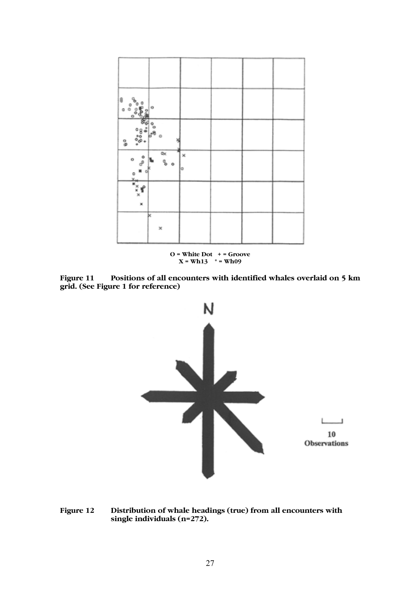

Figure 11 Positions of all encounters with identified whales overlaid on 5 km grid. (See Figure 1 for reference)



Figure 12 Distribution of whale headings (true) from all encounters with single individuals (n=272).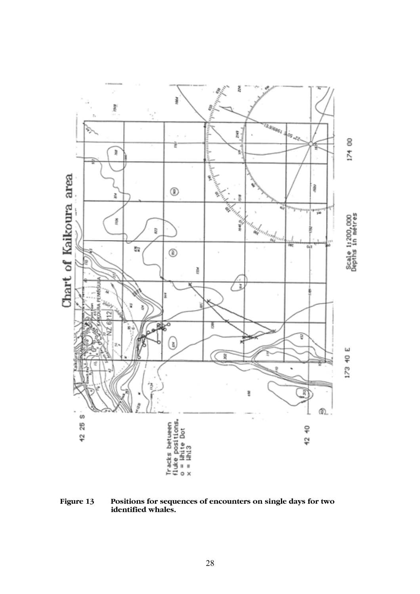

Figure 13 Positions for sequences of encounters on single days for two identified whales.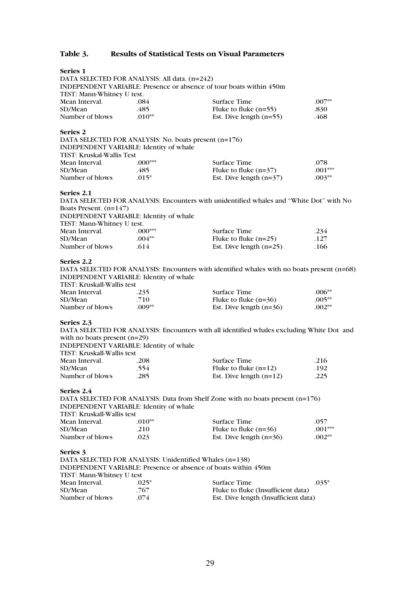# Table 3. Results of Statistical Tests on Visual Parameters

| Series <sub>1</sub>                                   |           |                                                                                            |             |
|-------------------------------------------------------|-----------|--------------------------------------------------------------------------------------------|-------------|
| DATA SELECTED FOR ANALYSIS: All data. (n=242)         |           |                                                                                            |             |
|                                                       |           | INDEPENDENT VARIABLE: Presence or absence of tour boats within 450m                        |             |
| TEST: Mann-Whitney U test.                            |           |                                                                                            |             |
| Mean Interval.                                        | .084      | Surface Time                                                                               | $.007^{**}$ |
| SD/Mean                                               | .485      | Fluke to fluke $(n=55)$                                                                    | .830        |
| Number of blows                                       | $.010**$  | Est. Dive length $(n=55)$                                                                  | .468        |
| Series <sub>2</sub>                                   |           |                                                                                            |             |
| DATA SELECTED FOR ANALYSIS: No. boats present (n=176) |           |                                                                                            |             |
| INDEPENDENT VARIABLE: Identity of whale               |           |                                                                                            |             |
| TEST: Kruskal-Wallis Test                             |           |                                                                                            |             |
| Mean Interval.                                        | $.000***$ | Surface Time                                                                               | .078        |
| SD/Mean                                               | .485      | Fluke to fluke $(n=37)$                                                                    | $.001***$   |
| Number of blows                                       | $.015*$   | Est. Dive length $(n=37)$                                                                  | $.003**$    |
| Series 2.1                                            |           |                                                                                            |             |
|                                                       |           | DATA SELECTED FOR ANALYSIS: Encounters with unidentified whales and "White Dot" with No    |             |
| Boats Present. $(n=147)$                              |           |                                                                                            |             |
| INDEPENDENT VARIABLE: Identity of whale               |           |                                                                                            |             |
| TEST: Mann-Whitney U test.                            |           |                                                                                            |             |
| Mean Interval.                                        | $.000***$ | Surface Time                                                                               | .234        |
| SD/Mean                                               | $.004**$  | Fluke to fluke $(n=25)$                                                                    | .127        |
| Number of blows                                       | .614      | Est. Dive length $(n=25)$                                                                  | .166        |
| Series 2.2                                            |           |                                                                                            |             |
|                                                       |           | DATA SELECTED FOR ANALYSIS: Encounters with identified whales with no boats present (n=68) |             |
| INDEPENDENT VARIABLE: Identity of whale               |           |                                                                                            |             |
| TEST: Kruskall-Wallis test                            |           |                                                                                            |             |
| Mean Interval.                                        | .235      | Surface Time                                                                               | $.006**$    |
| SD/Mean                                               | .710      | Fluke to fluke $(n=36)$                                                                    | $.005**$    |
| Number of blows                                       | $.009**$  | Est. Dive length $(n=36)$                                                                  | $.002**$    |
| Series 2.3                                            |           |                                                                                            |             |
|                                                       |           | DATA SELECTED FOR ANALYSIS: Encounters with all identified whales excluding White Dot and  |             |
| with no boats present $(n=29)$                        |           |                                                                                            |             |
| INDEPENDENT VARIABLE: Identity of whale               |           |                                                                                            |             |
| TEST: Kruskall-Wallis test                            |           |                                                                                            |             |
| Mean Interval.                                        | .208      | <b>Surface Time</b>                                                                        | .216        |
| SD/Mean                                               | .554      | Fluke to fluke $(n=12)$                                                                    | .192        |
| Number of blows                                       | .285      | Est. Dive length $(n=12)$                                                                  | .225        |
| Series 2.4                                            |           |                                                                                            |             |
|                                                       |           | DATA SELECTED FOR ANALYSIS: Data from Shelf Zone with no boats present (n=176)             |             |
| INDEPENDENT VARIABLE: Identity of whale               |           |                                                                                            |             |
| TEST: Kruskall-Wallis test                            |           |                                                                                            |             |
| Mean Interval.                                        | $.010**$  | Surface Time                                                                               | .057        |
| SD/Mean                                               | .210      | Fluke to fluke $(n=36)$                                                                    | $.001***$   |
| Number of blows                                       | .023      | Est. Dive length $(n=36)$                                                                  | $.002**$    |
| Series 3                                              |           |                                                                                            |             |
|                                                       |           | DATA SELECTED FOR ANALYSIS: Unidentified Whales (n=138)                                    |             |
|                                                       |           | <b>INDEPENDENT VARIABLE: Presence or absence of boats within 450m</b>                      |             |
| TEST: Mann-Whitney U test                             |           |                                                                                            |             |

| $\sim$          |         |                                      |  |
|-----------------|---------|--------------------------------------|--|
| Mean Interval.  | $.025*$ | $.035*$<br>Surface Time              |  |
| SD/Mean         | .767    | Fluke to fluke (Insufficient data)   |  |
| Number of blows | .074    | Est. Dive length (Insufficient data) |  |